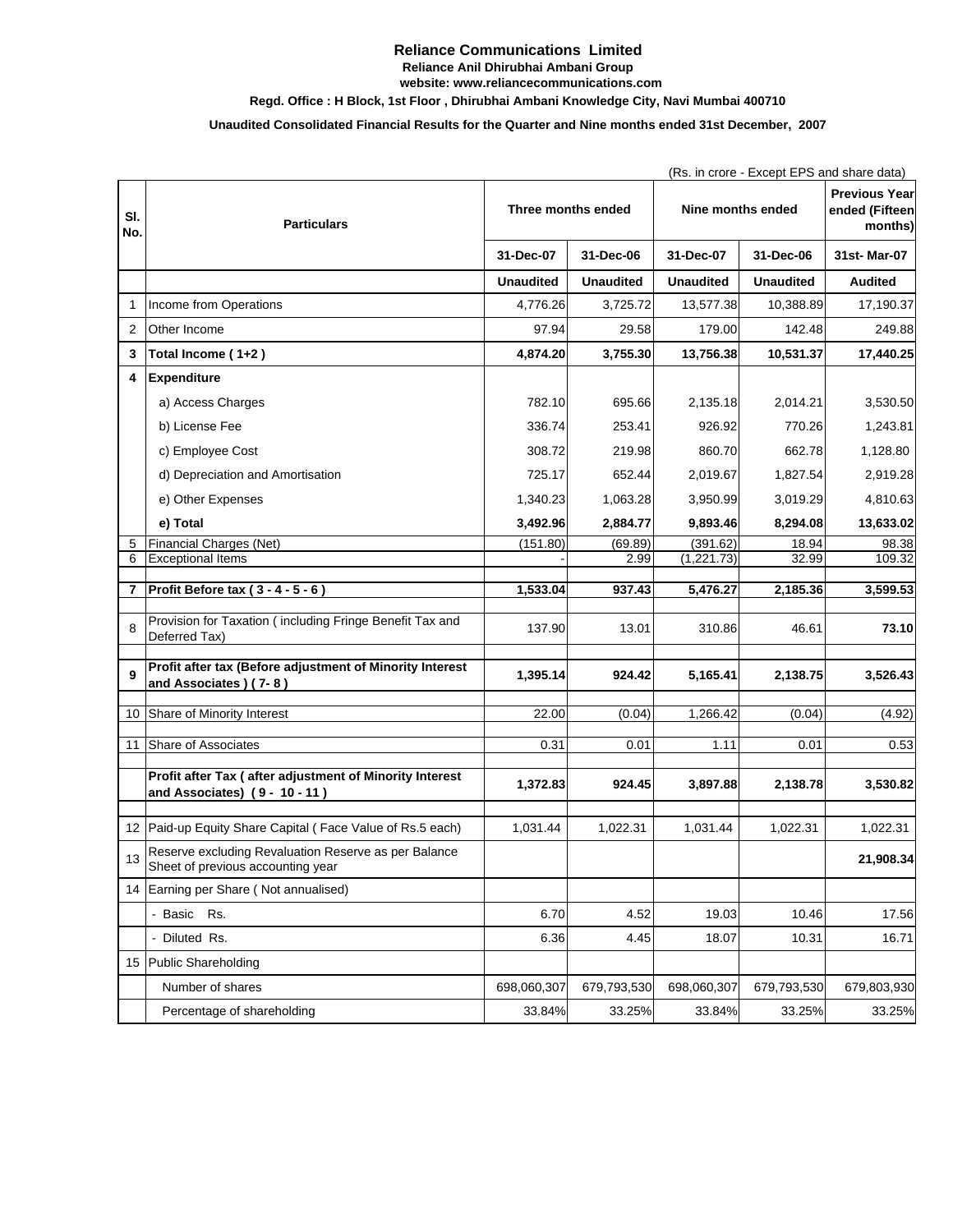### **Reliance Communications Limited Reliance Anil Dhirubhai Ambani Group website: www.reliancecommunications.com**

# **Regd. Office : H Block, 1st Floor , Dhirubhai Ambani Knowledge City, Navi Mumbai 400710**

# **Unaudited Consolidated Financial Results for the Quarter and Nine months ended 31st December, 2007**

|                |                                                                                           |                    | (Rs. in crore - Except EPS and share data) |                   |                  |                                                   |  |  |
|----------------|-------------------------------------------------------------------------------------------|--------------------|--------------------------------------------|-------------------|------------------|---------------------------------------------------|--|--|
| SI.<br>No.     | <b>Particulars</b>                                                                        | Three months ended |                                            | Nine months ended |                  | <b>Previous Year</b><br>ended (Fifteen<br>months) |  |  |
|                |                                                                                           | 31-Dec-07          | 31-Dec-06                                  | 31-Dec-07         | 31-Dec-06        | 31st-Mar-07                                       |  |  |
|                |                                                                                           | <b>Unaudited</b>   | <b>Unaudited</b>                           | <b>Unaudited</b>  | <b>Unaudited</b> | <b>Audited</b>                                    |  |  |
| $\mathbf{1}$   | Income from Operations                                                                    | 4,776.26           | 3,725.72                                   | 13,577.38         | 10,388.89        | 17,190.37                                         |  |  |
| $\overline{2}$ | Other Income                                                                              | 97.94              | 29.58                                      | 179.00            | 142.48           | 249.88                                            |  |  |
| 3              | Total Income (1+2)                                                                        | 4,874.20           | 3,755.30                                   | 13,756.38         | 10,531.37        | 17,440.25                                         |  |  |
| 4              | <b>Expenditure</b>                                                                        |                    |                                            |                   |                  |                                                   |  |  |
|                | a) Access Charges                                                                         | 782.10             | 695.66                                     | 2,135.18          | 2,014.21         | 3,530.50                                          |  |  |
|                | b) License Fee                                                                            | 336.74             | 253.41                                     | 926.92            | 770.26           | 1,243.81                                          |  |  |
|                | c) Employee Cost                                                                          | 308.72             | 219.98                                     | 860.70            | 662.78           | 1,128.80                                          |  |  |
|                | d) Depreciation and Amortisation                                                          | 725.17             | 652.44                                     | 2,019.67          | 1,827.54         | 2,919.28                                          |  |  |
|                | e) Other Expenses                                                                         | 1,340.23           | 1,063.28                                   | 3,950.99          | 3,019.29         | 4,810.63                                          |  |  |
|                | e) Total                                                                                  | 3,492.96           | 2,884.77                                   | 9,893.46          | 8,294.08         | 13,633.02                                         |  |  |
| 5              | <b>Financial Charges (Net)</b>                                                            | (151.80)           | (69.89)                                    | (391.62)          | 18.94            | 98.38                                             |  |  |
| 6              | <b>Exceptional Items</b>                                                                  |                    | 2.99                                       | (1, 221.73)       | 32.99            | 109.32                                            |  |  |
| 7              | Profit Before $\text{tax}(3 - 4 - 5 - 6)$                                                 | 1,533.04           | 937.43                                     | 5,476.27          | 2,185.36         | 3,599.53                                          |  |  |
| 8              | Provision for Taxation (including Fringe Benefit Tax and<br>Deferred Tax)                 | 137.90             | 13.01                                      | 310.86            | 46.61            | 73.10                                             |  |  |
| 9              | Profit after tax (Before adjustment of Minority Interest<br>and Associates ) (7-8)        | 1,395.14           | 924.42                                     | 5,165.41          | 2,138.75         | 3,526.43                                          |  |  |
| 10             | Share of Minority Interest                                                                | 22.00              | (0.04)                                     | 1,266.42          | (0.04)           | (4.92)                                            |  |  |
| 11             | Share of Associates                                                                       | 0.31               | 0.01                                       | 1.11              | 0.01             | 0.53                                              |  |  |
|                |                                                                                           |                    |                                            |                   |                  |                                                   |  |  |
|                | Profit after Tax (after adjustment of Minority Interest<br>and Associates) (9 - 10 - 11)  | 1,372.83           | 924.45                                     | 3,897.88          | 2,138.78         | 3,530.82                                          |  |  |
|                | 12 Paid-up Equity Share Capital (Face Value of Rs.5 each)                                 | 1,031.44           | 1,022.31                                   | 1,031.44          | 1,022.31         | 1,022.31                                          |  |  |
| 13             | Reserve excluding Revaluation Reserve as per Balance<br>Sheet of previous accounting year |                    |                                            |                   |                  | 21,908.34                                         |  |  |
| 14             | Earning per Share (Not annualised)                                                        |                    |                                            |                   |                  |                                                   |  |  |
|                | - Basic Rs.                                                                               | 6.70               | 4.52                                       | 19.03             | 10.46            | 17.56                                             |  |  |
|                | - Diluted Rs.                                                                             | 6.36               | 4.45                                       | 18.07             | 10.31            | 16.71                                             |  |  |
| 15             | <b>Public Shareholding</b>                                                                |                    |                                            |                   |                  |                                                   |  |  |
|                | Number of shares                                                                          | 698,060,307        | 679,793,530                                | 698,060,307       | 679,793,530      | 679,803,930                                       |  |  |
|                | Percentage of shareholding                                                                | 33.84%             | 33.25%                                     | 33.84%            | 33.25%           | 33.25%                                            |  |  |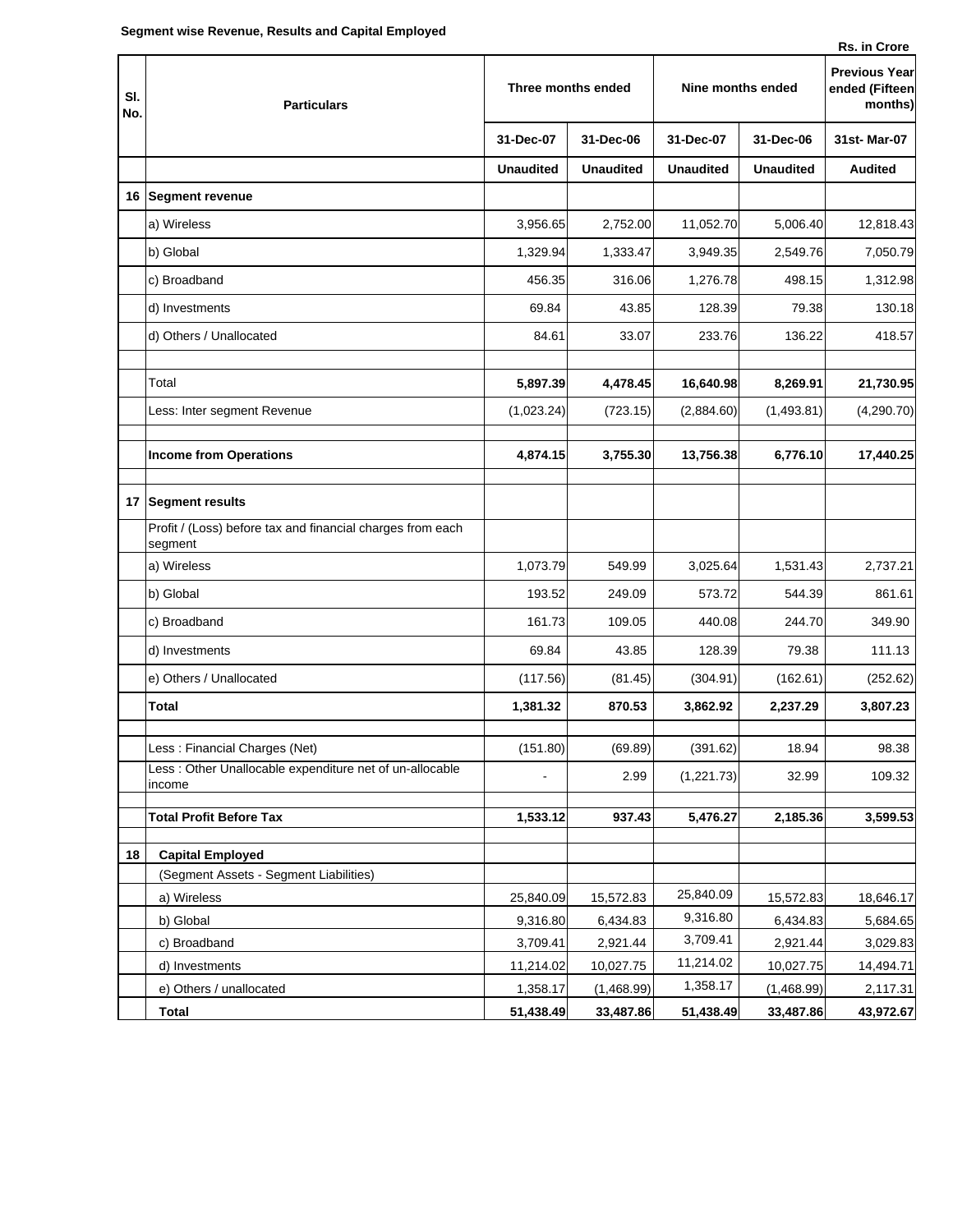| SI.<br>No. | <b>Particulars</b>                                                    | Three months ended |                  | Nine months ended |                  | <b>Previous Year</b><br>ended (Fifteen<br>months) |
|------------|-----------------------------------------------------------------------|--------------------|------------------|-------------------|------------------|---------------------------------------------------|
|            |                                                                       | 31-Dec-07          | 31-Dec-06        | 31-Dec-07         | 31-Dec-06        | 31st-Mar-07                                       |
|            |                                                                       | <b>Unaudited</b>   | <b>Unaudited</b> | <b>Unaudited</b>  | <b>Unaudited</b> | <b>Audited</b>                                    |
| 16         | <b>Segment revenue</b>                                                |                    |                  |                   |                  |                                                   |
|            | a) Wireless                                                           | 3,956.65           | 2,752.00         | 11,052.70         | 5,006.40         | 12,818.43                                         |
|            | b) Global                                                             | 1,329.94           | 1,333.47         | 3,949.35          | 2,549.76         | 7,050.79                                          |
|            | c) Broadband                                                          | 456.35             | 316.06           | 1,276.78          | 498.15           | 1,312.98                                          |
|            | d) Investments                                                        | 69.84              | 43.85            | 128.39            | 79.38            | 130.18                                            |
|            | d) Others / Unallocated                                               | 84.61              | 33.07            | 233.76            | 136.22           | 418.57                                            |
|            |                                                                       |                    |                  |                   |                  |                                                   |
|            | Total                                                                 | 5,897.39           | 4,478.45         | 16,640.98         | 8,269.91         | 21,730.95                                         |
|            | Less: Inter segment Revenue                                           | (1,023.24)         | (723.15)         | (2,884.60)        | (1,493.81)       | (4,290.70)                                        |
|            |                                                                       |                    | 3,755.30         |                   |                  |                                                   |
|            | <b>Income from Operations</b>                                         | 4,874.15           |                  | 13,756.38         | 6,776.10         | 17,440.25                                         |
| 17         | <b>Segment results</b>                                                |                    |                  |                   |                  |                                                   |
|            | Profit / (Loss) before tax and financial charges from each<br>segment |                    |                  |                   |                  |                                                   |
|            | a) Wireless                                                           | 1,073.79           | 549.99           | 3,025.64          | 1,531.43         | 2,737.21                                          |
|            | b) Global                                                             | 193.52             | 249.09           | 573.72            | 544.39           | 861.61                                            |
|            | c) Broadband                                                          | 161.73             | 109.05           | 440.08            | 244.70           | 349.90                                            |
|            | d) Investments                                                        | 69.84              | 43.85            | 128.39            | 79.38            | 111.13                                            |
|            | e) Others / Unallocated                                               | (117.56)           | (81.45)          | (304.91)          | (162.61)         | (252.62)                                          |
|            | Total                                                                 | 1,381.32           | 870.53           | 3,862.92          | 2,237.29         | 3,807.23                                          |
|            | Less: Financial Charges (Net)                                         | (151.80)           | (69.89)          | (391.62)          | 18.94            | 98.38                                             |
|            | Less : Other Unallocable expenditure net of un-allocable              |                    | 2.99             | (1,221.73)        | 32.99            | 109.32                                            |
|            | income                                                                |                    |                  |                   |                  |                                                   |
|            | <b>Total Profit Before Tax</b>                                        | 1,533.12           | 937.43           | 5,476.27          | 2,185.36         | 3,599.53                                          |
| 18         | <b>Capital Employed</b>                                               |                    |                  |                   |                  |                                                   |
|            | (Segment Assets - Segment Liabilities)                                |                    |                  |                   |                  |                                                   |
|            | a) Wireless                                                           | 25,840.09          | 15,572.83        | 25,840.09         | 15,572.83        | 18,646.17                                         |
|            | b) Global                                                             | 9,316.80           | 6,434.83         | 9,316.80          | 6,434.83         | 5,684.65                                          |
|            | c) Broadband                                                          | 3,709.41           | 2,921.44         | 3,709.41          | 2,921.44         | 3,029.83                                          |
|            | d) Investments                                                        | 11,214.02          | 10,027.75        | 11,214.02         | 10,027.75        | 14,494.71                                         |
|            | e) Others / unallocated                                               | 1,358.17           | (1,468.99)       | 1,358.17          | (1,468.99)       | 2,117.31                                          |
|            | <b>Total</b>                                                          | 51,438.49          | 33,487.86        | 51,438.49         | 33,487.86        | 43,972.67                                         |